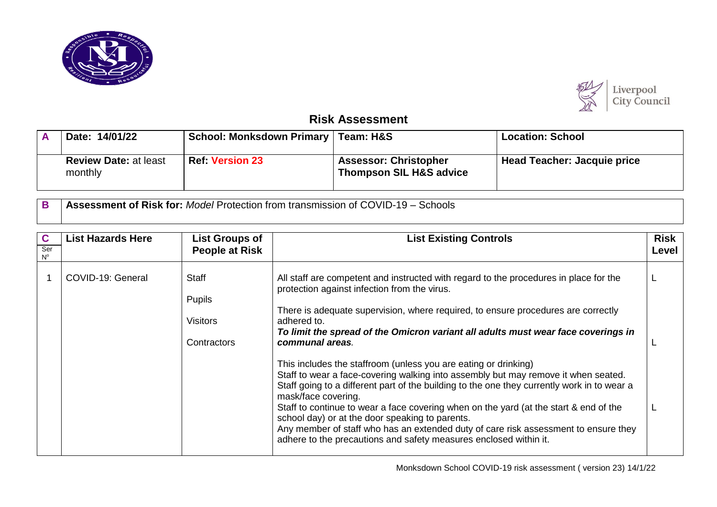



## **Risk Assessment**

| Date: 14/01/22                                                    | School: Monksdown Primary   Team: H&S |                                                                    | <b>Location: School</b>            |  |
|-------------------------------------------------------------------|---------------------------------------|--------------------------------------------------------------------|------------------------------------|--|
| <b>Review Date: at least</b><br><b>Ref: Version 23</b><br>monthly |                                       | <b>Assessor: Christopher</b><br><b>Thompson SIL H&amp;S advice</b> | <b>Head Teacher: Jacquie price</b> |  |

**B Assessment of Risk for:** *Model* Protection from transmission of COVID-19 – Schools

| $\mathbf c$<br>Ser<br>$N^{\circ}$ | <b>List Hazards Here</b> | <b>List Groups of</b><br><b>People at Risk</b>    | <b>List Existing Controls</b>                                                                                                                                                                                                                                                                                                                                                                                                                                                                                                                                                                                                                                                                                                                                                                                                                                                                                                            | <b>Risk</b><br>Level |
|-----------------------------------|--------------------------|---------------------------------------------------|------------------------------------------------------------------------------------------------------------------------------------------------------------------------------------------------------------------------------------------------------------------------------------------------------------------------------------------------------------------------------------------------------------------------------------------------------------------------------------------------------------------------------------------------------------------------------------------------------------------------------------------------------------------------------------------------------------------------------------------------------------------------------------------------------------------------------------------------------------------------------------------------------------------------------------------|----------------------|
|                                   | COVID-19: General        | Staff<br>Pupils<br><b>Visitors</b><br>Contractors | All staff are competent and instructed with regard to the procedures in place for the<br>protection against infection from the virus.<br>There is adequate supervision, where required, to ensure procedures are correctly<br>adhered to.<br>To limit the spread of the Omicron variant all adults must wear face coverings in<br>communal areas.<br>This includes the staffroom (unless you are eating or drinking)<br>Staff to wear a face-covering walking into assembly but may remove it when seated.<br>Staff going to a different part of the building to the one they currently work in to wear a<br>mask/face covering.<br>Staff to continue to wear a face covering when on the yard (at the start & end of the<br>school day) or at the door speaking to parents.<br>Any member of staff who has an extended duty of care risk assessment to ensure they<br>adhere to the precautions and safety measures enclosed within it. |                      |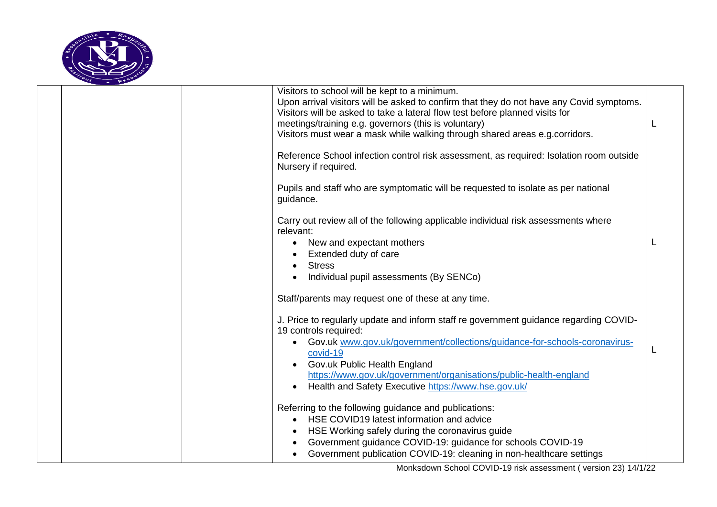

|  | Visitors to school will be kept to a minimum.                                                                   |  |
|--|-----------------------------------------------------------------------------------------------------------------|--|
|  | Upon arrival visitors will be asked to confirm that they do not have any Covid symptoms.                        |  |
|  | Visitors will be asked to take a lateral flow test before planned visits for                                    |  |
|  | meetings/training e.g. governors (this is voluntary)                                                            |  |
|  | Visitors must wear a mask while walking through shared areas e.g. corridors.                                    |  |
|  |                                                                                                                 |  |
|  | Reference School infection control risk assessment, as required: Isolation room outside<br>Nursery if required. |  |
|  | Pupils and staff who are symptomatic will be requested to isolate as per national<br>guidance.                  |  |
|  | Carry out review all of the following applicable individual risk assessments where<br>relevant:                 |  |
|  | New and expectant mothers<br>$\bullet$                                                                          |  |
|  | Extended duty of care                                                                                           |  |
|  | <b>Stress</b>                                                                                                   |  |
|  | Individual pupil assessments (By SENCo)                                                                         |  |
|  |                                                                                                                 |  |
|  | Staff/parents may request one of these at any time.                                                             |  |
|  | J. Price to regularly update and inform staff re government guidance regarding COVID-                           |  |
|  | 19 controls required:                                                                                           |  |
|  | Gov.uk www.gov.uk/government/collections/guidance-for-schools-coronavirus-                                      |  |
|  | covid-19                                                                                                        |  |
|  | Gov.uk Public Health England                                                                                    |  |
|  | https://www.gov.uk/government/organisations/public-health-england                                               |  |
|  | Health and Safety Executive https://www.hse.gov.uk/<br>$\bullet$                                                |  |
|  |                                                                                                                 |  |
|  | Referring to the following guidance and publications:                                                           |  |
|  | HSE COVID19 latest information and advice                                                                       |  |
|  | HSE Working safely during the coronavirus guide                                                                 |  |
|  | Government guidance COVID-19: guidance for schools COVID-19                                                     |  |
|  | Government publication COVID-19: cleaning in non-healthcare settings                                            |  |
|  |                                                                                                                 |  |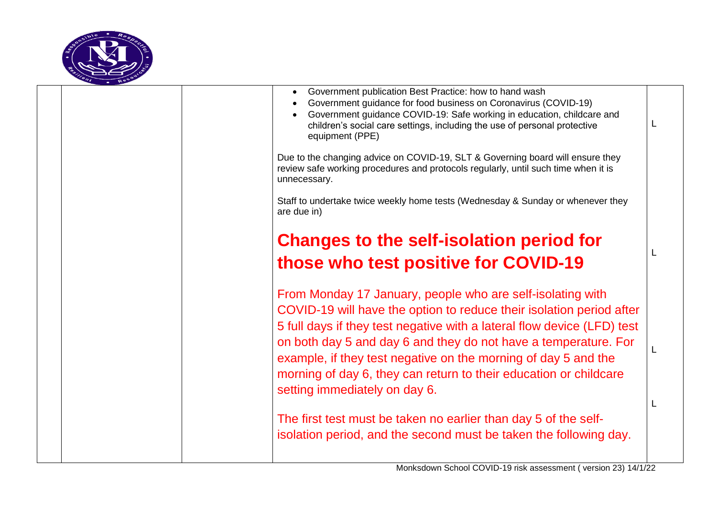

|  | Government publication Best Practice: how to hand wash<br>$\bullet$<br>Government guidance for food business on Coronavirus (COVID-19)<br>Government guidance COVID-19: Safe working in education, childcare and<br>children's social care settings, including the use of personal protective<br>equipment (PPE) |  |
|--|------------------------------------------------------------------------------------------------------------------------------------------------------------------------------------------------------------------------------------------------------------------------------------------------------------------|--|
|  | Due to the changing advice on COVID-19, SLT & Governing board will ensure they<br>review safe working procedures and protocols regularly, until such time when it is<br>unnecessary.                                                                                                                             |  |
|  | Staff to undertake twice weekly home tests (Wednesday & Sunday or whenever they<br>are due in)                                                                                                                                                                                                                   |  |
|  | <b>Changes to the self-isolation period for</b>                                                                                                                                                                                                                                                                  |  |
|  | those who test positive for COVID-19                                                                                                                                                                                                                                                                             |  |
|  | From Monday 17 January, people who are self-isolating with<br>COVID-19 will have the option to reduce their isolation period after<br>5 full days if they test negative with a lateral flow device (LFD) test                                                                                                    |  |
|  | on both day 5 and day 6 and they do not have a temperature. For<br>example, if they test negative on the morning of day 5 and the<br>morning of day 6, they can return to their education or childcare<br>setting immediately on day 6.                                                                          |  |
|  | The first test must be taken no earlier than day 5 of the self-                                                                                                                                                                                                                                                  |  |
|  | isolation period, and the second must be taken the following day.                                                                                                                                                                                                                                                |  |
|  |                                                                                                                                                                                                                                                                                                                  |  |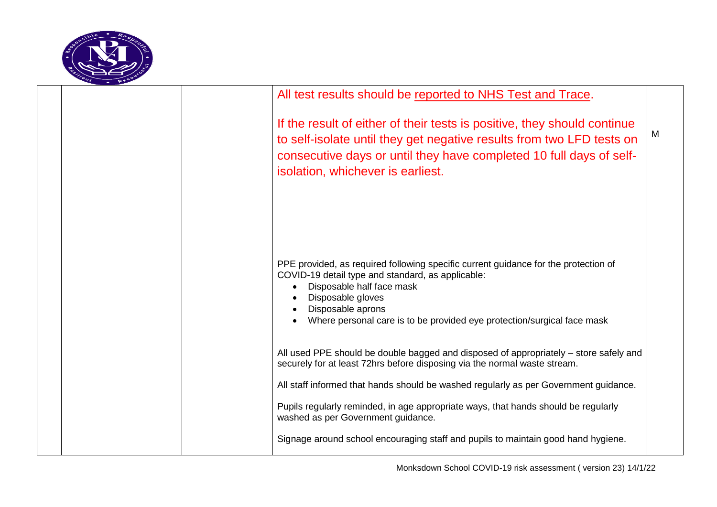

|  | All test results should be reported to NHS Test and Trace.                                                                                                                                                                                                                                 |   |
|--|--------------------------------------------------------------------------------------------------------------------------------------------------------------------------------------------------------------------------------------------------------------------------------------------|---|
|  | If the result of either of their tests is positive, they should continue<br>to self-isolate until they get negative results from two LFD tests on<br>consecutive days or until they have completed 10 full days of self-<br>isolation, whichever is earliest.                              | M |
|  |                                                                                                                                                                                                                                                                                            |   |
|  | PPE provided, as required following specific current guidance for the protection of<br>COVID-19 detail type and standard, as applicable:<br>Disposable half face mask<br>Disposable gloves<br>Disposable aprons<br>Where personal care is to be provided eye protection/surgical face mask |   |
|  | All used PPE should be double bagged and disposed of appropriately - store safely and<br>securely for at least 72hrs before disposing via the normal waste stream.                                                                                                                         |   |
|  | All staff informed that hands should be washed regularly as per Government guidance.                                                                                                                                                                                                       |   |
|  | Pupils regularly reminded, in age appropriate ways, that hands should be regularly<br>washed as per Government guidance.                                                                                                                                                                   |   |
|  | Signage around school encouraging staff and pupils to maintain good hand hygiene.                                                                                                                                                                                                          |   |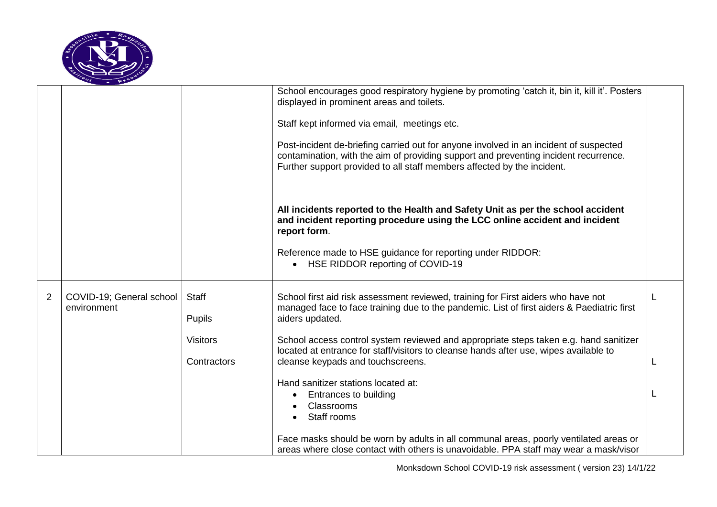

|   |                                         |                                                                 | School encourages good respiratory hygiene by promoting 'catch it, bin it, kill it'. Posters<br>displayed in prominent areas and toilets.<br>Staff kept informed via email, meetings etc.<br>Post-incident de-briefing carried out for anyone involved in an incident of suspected<br>contamination, with the aim of providing support and preventing incident recurrence.<br>Further support provided to all staff members affected by the incident.<br>All incidents reported to the Health and Safety Unit as per the school accident<br>and incident reporting procedure using the LCC online accident and incident<br>report form.<br>Reference made to HSE guidance for reporting under RIDDOR:<br>HSE RIDDOR reporting of COVID-19<br>$\bullet$ |  |
|---|-----------------------------------------|-----------------------------------------------------------------|--------------------------------------------------------------------------------------------------------------------------------------------------------------------------------------------------------------------------------------------------------------------------------------------------------------------------------------------------------------------------------------------------------------------------------------------------------------------------------------------------------------------------------------------------------------------------------------------------------------------------------------------------------------------------------------------------------------------------------------------------------|--|
| 2 | COVID-19; General school<br>environment | <b>Staff</b><br><b>Pupils</b><br><b>Visitors</b><br>Contractors | School first aid risk assessment reviewed, training for First aiders who have not<br>managed face to face training due to the pandemic. List of first aiders & Paediatric first<br>aiders updated.<br>School access control system reviewed and appropriate steps taken e.g. hand sanitizer<br>located at entrance for staff/visitors to cleanse hands after use, wipes available to<br>cleanse keypads and touchscreens.<br>Hand sanitizer stations located at:<br>Entrances to building<br>$\bullet$<br>Classrooms<br>Staff rooms<br>Face masks should be worn by adults in all communal areas, poorly ventilated areas or<br>areas where close contact with others is unavoidable. PPA staff may wear a mask/visor                                  |  |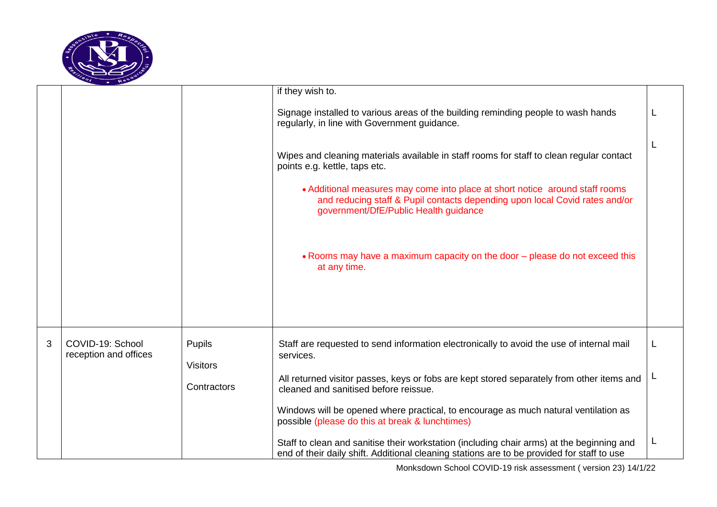

|   |                                           |                                | if they wish to.                                                                                                                                                                                     |   |
|---|-------------------------------------------|--------------------------------|------------------------------------------------------------------------------------------------------------------------------------------------------------------------------------------------------|---|
|   |                                           |                                | Signage installed to various areas of the building reminding people to wash hands<br>regularly, in line with Government guidance.                                                                    | L |
|   |                                           |                                | Wipes and cleaning materials available in staff rooms for staff to clean regular contact<br>points e.g. kettle, taps etc.                                                                            |   |
|   |                                           |                                | • Additional measures may come into place at short notice around staff rooms<br>and reducing staff & Pupil contacts depending upon local Covid rates and/or<br>government/DfE/Public Health guidance |   |
|   |                                           |                                | • Rooms may have a maximum capacity on the door – please do not exceed this<br>at any time.                                                                                                          |   |
|   |                                           |                                |                                                                                                                                                                                                      |   |
| 3 | COVID-19: School<br>reception and offices | <b>Pupils</b>                  | Staff are requested to send information electronically to avoid the use of internal mail<br>services.                                                                                                |   |
|   |                                           | <b>Visitors</b><br>Contractors | All returned visitor passes, keys or fobs are kept stored separately from other items and<br>cleaned and sanitised before reissue.                                                                   |   |
|   |                                           |                                | Windows will be opened where practical, to encourage as much natural ventilation as<br>possible (please do this at break & lunchtimes)                                                               |   |
|   |                                           |                                | Staff to clean and sanitise their workstation (including chair arms) at the beginning and<br>end of their daily shift. Additional cleaning stations are to be provided for staff to use              |   |

Monksdown School COVID-19 risk assessment ( version 23) 14/1/22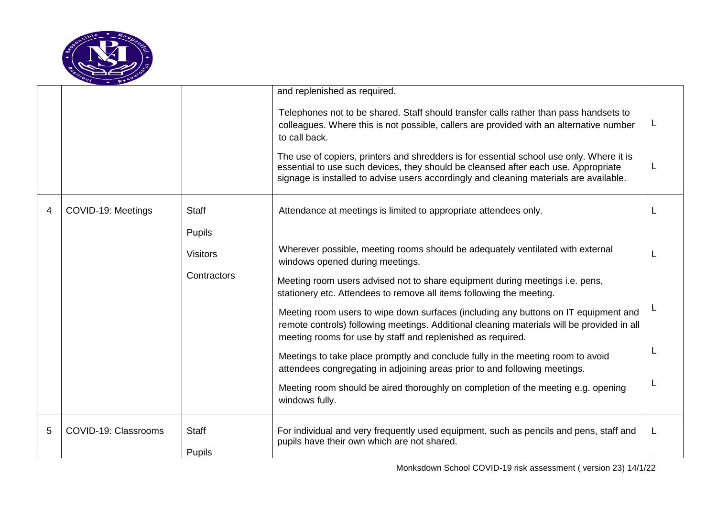

|   |                      |                 | and replenished as required.                                                                                                                                                                                                                                             |   |
|---|----------------------|-----------------|--------------------------------------------------------------------------------------------------------------------------------------------------------------------------------------------------------------------------------------------------------------------------|---|
|   |                      |                 | Telephones not to be shared. Staff should transfer calls rather than pass handsets to<br>colleagues. Where this is not possible, callers are provided with an alternative number<br>to call back.                                                                        | L |
|   |                      |                 | The use of copiers, printers and shredders is for essential school use only. Where it is<br>essential to use such devices, they should be cleansed after each use. Appropriate<br>signage is installed to advise users accordingly and cleaning materials are available. |   |
| 4 | COVID-19: Meetings   | <b>Staff</b>    | Attendance at meetings is limited to appropriate attendees only.                                                                                                                                                                                                         |   |
|   |                      | <b>Pupils</b>   |                                                                                                                                                                                                                                                                          |   |
|   |                      | <b>Visitors</b> | Wherever possible, meeting rooms should be adequately ventilated with external<br>windows opened during meetings.                                                                                                                                                        |   |
|   |                      | Contractors     | Meeting room users advised not to share equipment during meetings i.e. pens,<br>stationery etc. Attendees to remove all items following the meeting.                                                                                                                     |   |
|   |                      |                 | Meeting room users to wipe down surfaces (including any buttons on IT equipment and<br>remote controls) following meetings. Additional cleaning materials will be provided in all<br>meeting rooms for use by staff and replenished as required.                         |   |
|   |                      |                 | Meetings to take place promptly and conclude fully in the meeting room to avoid<br>attendees congregating in adjoining areas prior to and following meetings.                                                                                                            |   |
|   |                      |                 | Meeting room should be aired thoroughly on completion of the meeting e.g. opening<br>windows fully.                                                                                                                                                                      |   |
| 5 | COVID-19: Classrooms | <b>Staff</b>    | For individual and very frequently used equipment, such as pencils and pens, staff and<br>pupils have their own which are not shared.                                                                                                                                    | L |
|   |                      | <b>Pupils</b>   |                                                                                                                                                                                                                                                                          |   |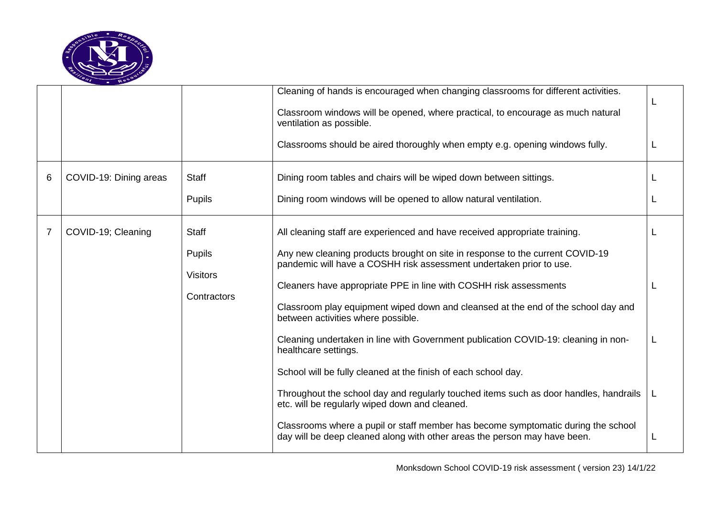

|   |                        |                                                                 | Cleaning of hands is encouraged when changing classrooms for different activities.<br>Classroom windows will be opened, where practical, to encourage as much natural<br>ventilation as possible.<br>Classrooms should be aired thoroughly when empty e.g. opening windows fully.                                                                                                                                                                                                                                                                                                                                                                                                                                                                                                                                                                                                                                               |   |
|---|------------------------|-----------------------------------------------------------------|---------------------------------------------------------------------------------------------------------------------------------------------------------------------------------------------------------------------------------------------------------------------------------------------------------------------------------------------------------------------------------------------------------------------------------------------------------------------------------------------------------------------------------------------------------------------------------------------------------------------------------------------------------------------------------------------------------------------------------------------------------------------------------------------------------------------------------------------------------------------------------------------------------------------------------|---|
| 6 | COVID-19: Dining areas | <b>Staff</b><br><b>Pupils</b>                                   | Dining room tables and chairs will be wiped down between sittings.<br>Dining room windows will be opened to allow natural ventilation.                                                                                                                                                                                                                                                                                                                                                                                                                                                                                                                                                                                                                                                                                                                                                                                          |   |
| 7 | COVID-19; Cleaning     | <b>Staff</b><br><b>Pupils</b><br><b>Visitors</b><br>Contractors | All cleaning staff are experienced and have received appropriate training.<br>Any new cleaning products brought on site in response to the current COVID-19<br>pandemic will have a COSHH risk assessment undertaken prior to use.<br>Cleaners have appropriate PPE in line with COSHH risk assessments<br>Classroom play equipment wiped down and cleansed at the end of the school day and<br>between activities where possible.<br>Cleaning undertaken in line with Government publication COVID-19: cleaning in non-<br>healthcare settings.<br>School will be fully cleaned at the finish of each school day.<br>Throughout the school day and regularly touched items such as door handles, handrails<br>etc. will be regularly wiped down and cleaned.<br>Classrooms where a pupil or staff member has become symptomatic during the school<br>day will be deep cleaned along with other areas the person may have been. | L |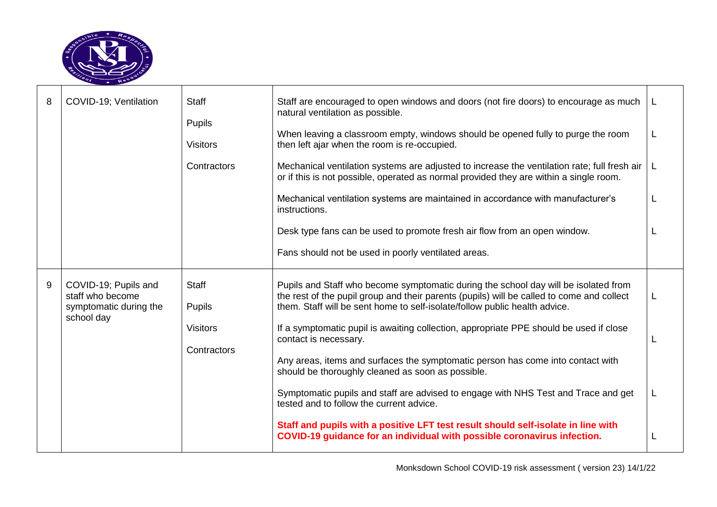

| 8 | COVID-19; Ventilation                                                            | <b>Staff</b><br>Pupils<br><b>Visitors</b><br>Contractors | Staff are encouraged to open windows and doors (not fire doors) to encourage as much<br>natural ventilation as possible.<br>When leaving a classroom empty, windows should be opened fully to purge the room<br>then left ajar when the room is re-occupied.<br>Mechanical ventilation systems are adjusted to increase the ventilation rate; full fresh air<br>or if this is not possible, operated as normal provided they are within a single room.<br>Mechanical ventilation systems are maintained in accordance with manufacturer's<br>instructions.<br>Desk type fans can be used to promote fresh air flow from an open window.<br>Fans should not be used in poorly ventilated areas.                                                                                                                               | L |
|---|----------------------------------------------------------------------------------|----------------------------------------------------------|------------------------------------------------------------------------------------------------------------------------------------------------------------------------------------------------------------------------------------------------------------------------------------------------------------------------------------------------------------------------------------------------------------------------------------------------------------------------------------------------------------------------------------------------------------------------------------------------------------------------------------------------------------------------------------------------------------------------------------------------------------------------------------------------------------------------------|---|
| 9 | COVID-19; Pupils and<br>staff who become<br>symptomatic during the<br>school day | <b>Staff</b><br>Pupils<br><b>Visitors</b><br>Contractors | Pupils and Staff who become symptomatic during the school day will be isolated from<br>the rest of the pupil group and their parents (pupils) will be called to come and collect<br>them. Staff will be sent home to self-isolate/follow public health advice.<br>If a symptomatic pupil is awaiting collection, appropriate PPE should be used if close<br>contact is necessary.<br>Any areas, items and surfaces the symptomatic person has come into contact with<br>should be thoroughly cleaned as soon as possible.<br>Symptomatic pupils and staff are advised to engage with NHS Test and Trace and get<br>tested and to follow the current advice.<br>Staff and pupils with a positive LFT test result should self-isolate in line with<br>COVID-19 guidance for an individual with possible coronavirus infection. |   |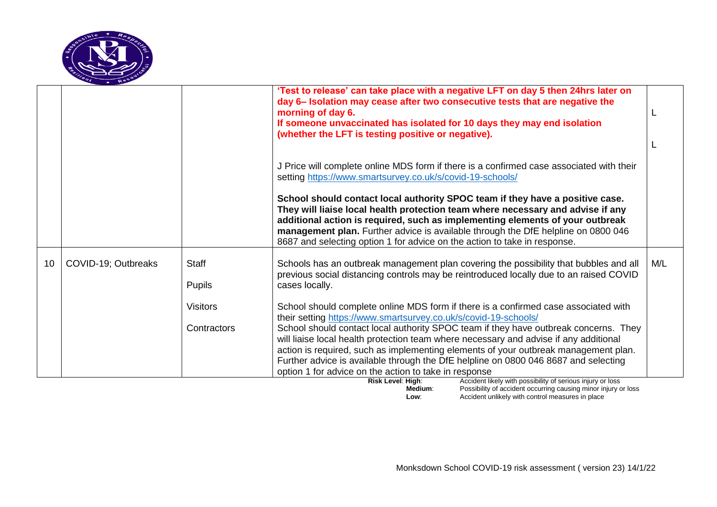

|    |                     |                               | 'Test to release' can take place with a negative LFT on day 5 then 24hrs later on<br>day 6- Isolation may cease after two consecutive tests that are negative the<br>morning of day 6.<br>If someone unvaccinated has isolated for 10 days they may end isolation<br>(whether the LFT is testing positive or negative).                                                                                              |     |
|----|---------------------|-------------------------------|----------------------------------------------------------------------------------------------------------------------------------------------------------------------------------------------------------------------------------------------------------------------------------------------------------------------------------------------------------------------------------------------------------------------|-----|
|    |                     |                               | J Price will complete online MDS form if there is a confirmed case associated with their<br>setting https://www.smartsurvey.co.uk/s/covid-19-schools/                                                                                                                                                                                                                                                                |     |
|    |                     |                               | School should contact local authority SPOC team if they have a positive case.<br>They will liaise local health protection team where necessary and advise if any<br>additional action is required, such as implementing elements of your outbreak<br>management plan. Further advice is available through the DfE helpline on 0800 046<br>8687 and selecting option 1 for advice on the action to take in response.  |     |
| 10 | COVID-19; Outbreaks | <b>Staff</b><br><b>Pupils</b> | Schools has an outbreak management plan covering the possibility that bubbles and all<br>previous social distancing controls may be reintroduced locally due to an raised COVID<br>cases locally.                                                                                                                                                                                                                    | M/L |
|    |                     | <b>Visitors</b>               | School should complete online MDS form if there is a confirmed case associated with<br>their setting https://www.smartsurvey.co.uk/s/covid-19-schools/                                                                                                                                                                                                                                                               |     |
|    |                     | Contractors                   | School should contact local authority SPOC team if they have outbreak concerns. They<br>will liaise local health protection team where necessary and advise if any additional<br>action is required, such as implementing elements of your outbreak management plan.<br>Further advice is available through the DfE helpline on 0800 046 8687 and selecting<br>option 1 for advice on the action to take in response |     |
|    |                     |                               | Accident likely with possibility of serious injury or loss<br>Risk Level: High:                                                                                                                                                                                                                                                                                                                                      |     |

**Medium:** Possibility of accident occurring causing minor injury or loss **Low**: **Conserve Accident unlikely with control measures in place**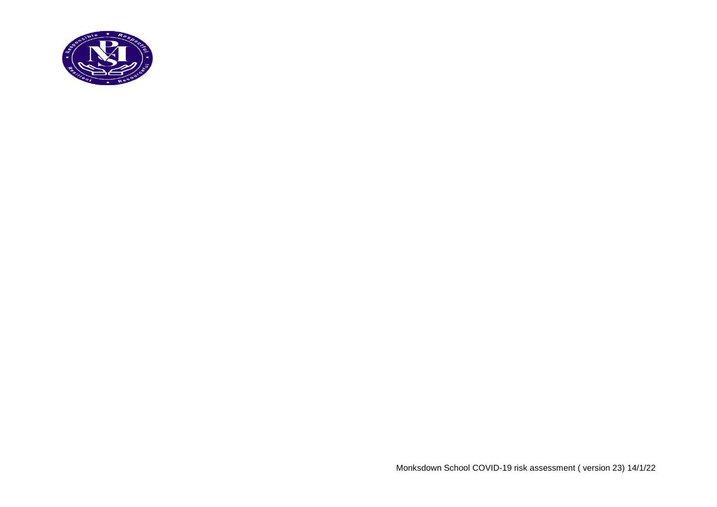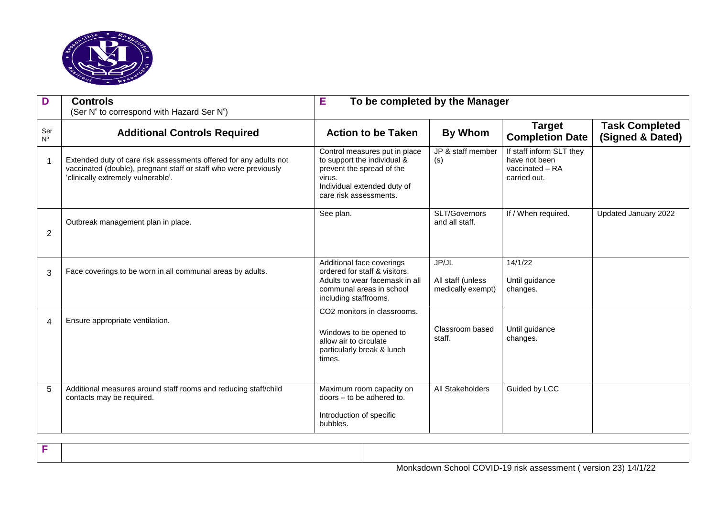

| D                  | <b>Controls</b><br>(Ser N° to correspond with Hazard Ser N°)                                                                                                                | E<br>To be completed by the Manager                                                                                                                          |                                                 |                                                                              |                                           |
|--------------------|-----------------------------------------------------------------------------------------------------------------------------------------------------------------------------|--------------------------------------------------------------------------------------------------------------------------------------------------------------|-------------------------------------------------|------------------------------------------------------------------------------|-------------------------------------------|
| Ser<br>$N^{\circ}$ | <b>Additional Controls Required</b>                                                                                                                                         | <b>Action to be Taken</b>                                                                                                                                    | <b>By Whom</b>                                  | <b>Target</b><br><b>Completion Date</b>                                      | <b>Task Completed</b><br>(Signed & Dated) |
| 1                  | Extended duty of care risk assessments offered for any adults not<br>vaccinated (double), pregnant staff or staff who were previously<br>'clinically extremely vulnerable'. | Control measures put in place<br>to support the individual &<br>prevent the spread of the<br>virus.<br>Individual extended duty of<br>care risk assessments. | JP & staff member<br>(s)                        | If staff inform SLT they<br>have not been<br>vaccinated - RA<br>carried out. |                                           |
| 2                  | Outbreak management plan in place.                                                                                                                                          | See plan.                                                                                                                                                    | SLT/Governors<br>and all staff.                 | If / When required.                                                          | Updated January 2022                      |
| 3                  | Face coverings to be worn in all communal areas by adults.                                                                                                                  | Additional face coverings<br>ordered for staff & visitors.<br>Adults to wear facemask in all<br>communal areas in school<br>including staffrooms.            | JP/JL<br>All staff (unless<br>medically exempt) | 14/1/22<br>Until guidance<br>changes.                                        |                                           |
| 4                  | Ensure appropriate ventilation.                                                                                                                                             | CO <sub>2</sub> monitors in classrooms.<br>Windows to be opened to<br>allow air to circulate<br>particularly break & lunch<br>times.                         | Classroom based<br>staff.                       | Until guidance<br>changes.                                                   |                                           |
| 5                  | Additional measures around staff rooms and reducing staff/child<br>contacts may be required.                                                                                | Maximum room capacity on<br>doors - to be adhered to.<br>Introduction of specific<br>bubbles.                                                                | All Stakeholders                                | Guided by LCC                                                                |                                           |